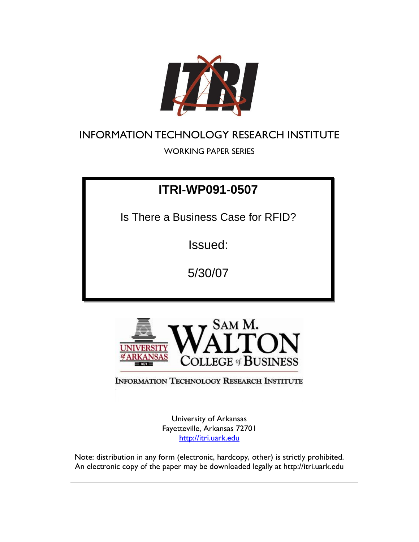

# INFORMATION TECHNOLOGY RESEARCH INSTITUTE

WORKING PAPER SERIES

# **ITRI-WP091-0507**

Is There a Business Case for RFID?

Issued:

5/30/07



**INFORMATION TECHNOLOGY RESEARCH INSTITUTE** 

University of Arkansas Fayetteville, Arkansas 72701 http://itri.uark.edu

Note: distribution in any form (electronic, hardcopy, other) is strictly prohibited. An electronic copy of the paper may be downloaded legally at http://itri.uark.edu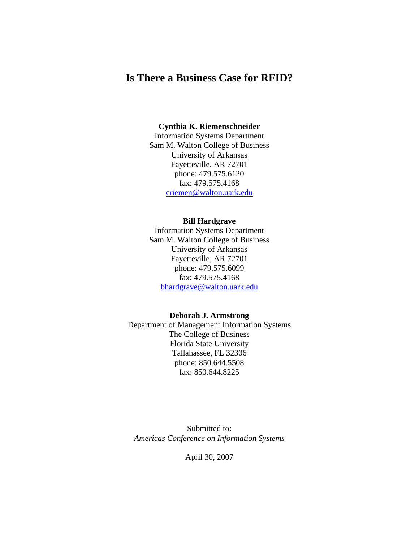# **Is There a Business Case for RFID?**

#### **Cynthia K. Riemenschneider**

Information Systems Department Sam M. Walton College of Business University of Arkansas Fayetteville, AR 72701 phone: 479.575.6120 fax: 479.575.4168 criemen@walton.uark.edu

# **Bill Hardgrave**

Information Systems Department Sam M. Walton College of Business University of Arkansas Fayetteville, AR 72701 phone: 479.575.6099 fax: 479.575.4168 bhardgrave@walton.uark.edu

#### **Deborah J. Armstrong**

Department of Management Information Systems The College of Business Florida State University Tallahassee, FL 32306 phone: 850.644.5508 fax: 850.644.8225

Submitted to: *Americas Conference on Information Systems* 

April 30, 2007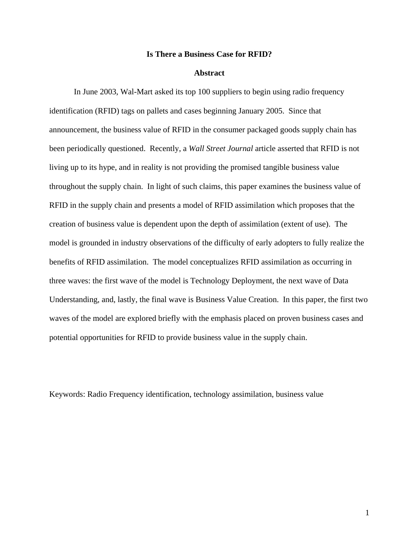#### **Is There a Business Case for RFID?**

#### **Abstract**

In June 2003, Wal-Mart asked its top 100 suppliers to begin using radio frequency identification (RFID) tags on pallets and cases beginning January 2005. Since that announcement, the business value of RFID in the consumer packaged goods supply chain has been periodically questioned. Recently, a *Wall Street Journal* article asserted that RFID is not living up to its hype, and in reality is not providing the promised tangible business value throughout the supply chain. In light of such claims, this paper examines the business value of RFID in the supply chain and presents a model of RFID assimilation which proposes that the creation of business value is dependent upon the depth of assimilation (extent of use). The model is grounded in industry observations of the difficulty of early adopters to fully realize the benefits of RFID assimilation. The model conceptualizes RFID assimilation as occurring in three waves: the first wave of the model is Technology Deployment, the next wave of Data Understanding, and, lastly, the final wave is Business Value Creation. In this paper, the first two waves of the model are explored briefly with the emphasis placed on proven business cases and potential opportunities for RFID to provide business value in the supply chain.

Keywords: Radio Frequency identification, technology assimilation, business value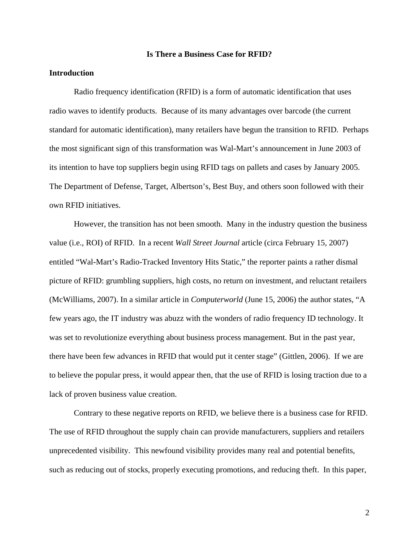#### **Is There a Business Case for RFID?**

# **Introduction**

Radio frequency identification (RFID) is a form of automatic identification that uses radio waves to identify products. Because of its many advantages over barcode (the current standard for automatic identification), many retailers have begun the transition to RFID. Perhaps the most significant sign of this transformation was Wal-Mart's announcement in June 2003 of its intention to have top suppliers begin using RFID tags on pallets and cases by January 2005. The Department of Defense, Target, Albertson's, Best Buy, and others soon followed with their own RFID initiatives.

However, the transition has not been smooth. Many in the industry question the business value (i.e., ROI) of RFID. In a recent *Wall Street Journal* article (circa February 15, 2007) entitled "Wal-Mart's Radio-Tracked Inventory Hits Static," the reporter paints a rather dismal picture of RFID: grumbling suppliers, high costs, no return on investment, and reluctant retailers (McWilliams, 2007). In a similar article in *Computerworld* (June 15, 2006) the author states, "A few years ago, the IT industry was abuzz with the wonders of radio frequency ID technology. It was set to revolutionize everything about business process management. But in the past year, there have been few advances in RFID that would put it center stage" (Gittlen, 2006). If we are to believe the popular press, it would appear then, that the use of RFID is losing traction due to a lack of proven business value creation.

 Contrary to these negative reports on RFID, we believe there is a business case for RFID. The use of RFID throughout the supply chain can provide manufacturers, suppliers and retailers unprecedented visibility. This newfound visibility provides many real and potential benefits, such as reducing out of stocks, properly executing promotions, and reducing theft. In this paper,

2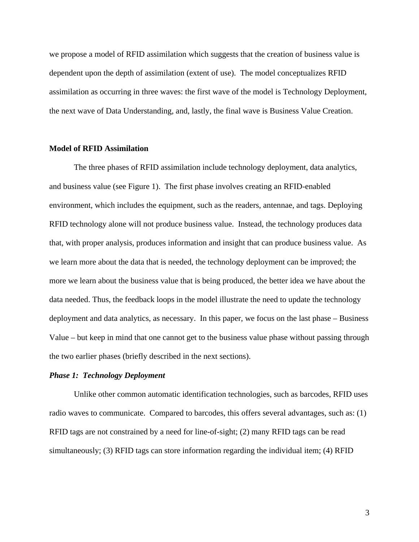we propose a model of RFID assimilation which suggests that the creation of business value is dependent upon the depth of assimilation (extent of use). The model conceptualizes RFID assimilation as occurring in three waves: the first wave of the model is Technology Deployment, the next wave of Data Understanding, and, lastly, the final wave is Business Value Creation.

#### **Model of RFID Assimilation**

The three phases of RFID assimilation include technology deployment, data analytics, and business value (see Figure 1). The first phase involves creating an RFID-enabled environment, which includes the equipment, such as the readers, antennae, and tags. Deploying RFID technology alone will not produce business value. Instead, the technology produces data that, with proper analysis, produces information and insight that can produce business value. As we learn more about the data that is needed, the technology deployment can be improved; the more we learn about the business value that is being produced, the better idea we have about the data needed. Thus, the feedback loops in the model illustrate the need to update the technology deployment and data analytics, as necessary. In this paper, we focus on the last phase – Business Value – but keep in mind that one cannot get to the business value phase without passing through the two earlier phases (briefly described in the next sections).

#### *Phase 1: Technology Deployment*

Unlike other common automatic identification technologies, such as barcodes, RFID uses radio waves to communicate. Compared to barcodes, this offers several advantages, such as: (1) RFID tags are not constrained by a need for line-of-sight; (2) many RFID tags can be read simultaneously; (3) RFID tags can store information regarding the individual item; (4) RFID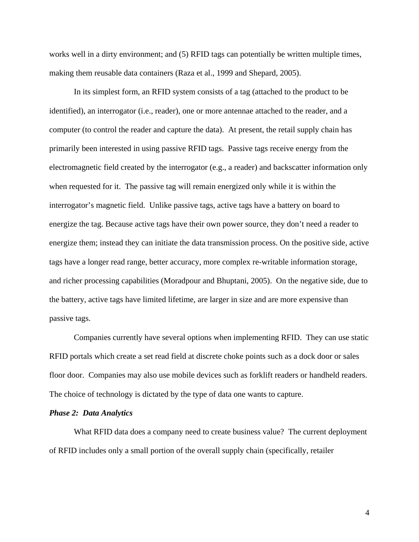works well in a dirty environment; and (5) RFID tags can potentially be written multiple times, making them reusable data containers (Raza et al., 1999 and Shepard, 2005).

In its simplest form, an RFID system consists of a tag (attached to the product to be identified), an interrogator (i.e., reader), one or more antennae attached to the reader, and a computer (to control the reader and capture the data). At present, the retail supply chain has primarily been interested in using passive RFID tags. Passive tags receive energy from the electromagnetic field created by the interrogator (e.g., a reader) and backscatter information only when requested for it. The passive tag will remain energized only while it is within the interrogator's magnetic field. Unlike passive tags, active tags have a battery on board to energize the tag. Because active tags have their own power source, they don't need a reader to energize them; instead they can initiate the data transmission process. On the positive side, active tags have a longer read range, better accuracy, more complex re-writable information storage, and richer processing capabilities (Moradpour and Bhuptani, 2005). On the negative side, due to the battery, active tags have limited lifetime, are larger in size and are more expensive than passive tags.

Companies currently have several options when implementing RFID. They can use static RFID portals which create a set read field at discrete choke points such as a dock door or sales floor door. Companies may also use mobile devices such as forklift readers or handheld readers. The choice of technology is dictated by the type of data one wants to capture.

# *Phase 2: Data Analytics*

What RFID data does a company need to create business value? The current deployment of RFID includes only a small portion of the overall supply chain (specifically, retailer

4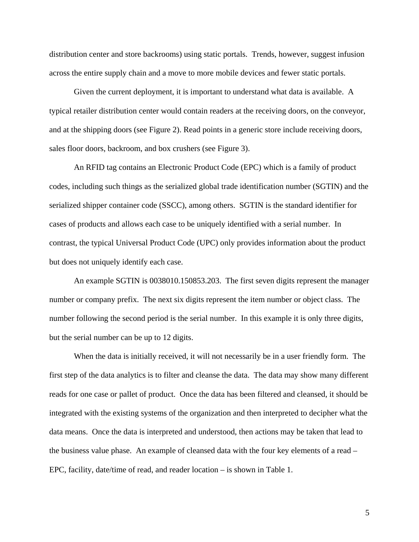distribution center and store backrooms) using static portals. Trends, however, suggest infusion across the entire supply chain and a move to more mobile devices and fewer static portals.

Given the current deployment, it is important to understand what data is available. A typical retailer distribution center would contain readers at the receiving doors, on the conveyor, and at the shipping doors (see Figure 2). Read points in a generic store include receiving doors, sales floor doors, backroom, and box crushers (see Figure 3).

An RFID tag contains an Electronic Product Code (EPC) which is a family of product codes, including such things as the serialized global trade identification number (SGTIN) and the serialized shipper container code (SSCC), among others. SGTIN is the standard identifier for cases of products and allows each case to be uniquely identified with a serial number. In contrast, the typical Universal Product Code (UPC) only provides information about the product but does not uniquely identify each case.

An example SGTIN is 0038010.150853.203. The first seven digits represent the manager number or company prefix. The next six digits represent the item number or object class. The number following the second period is the serial number. In this example it is only three digits, but the serial number can be up to 12 digits.

 When the data is initially received, it will not necessarily be in a user friendly form. The first step of the data analytics is to filter and cleanse the data. The data may show many different reads for one case or pallet of product. Once the data has been filtered and cleansed, it should be integrated with the existing systems of the organization and then interpreted to decipher what the data means. Once the data is interpreted and understood, then actions may be taken that lead to the business value phase. An example of cleansed data with the four key elements of a read – EPC, facility, date/time of read, and reader location – is shown in Table 1.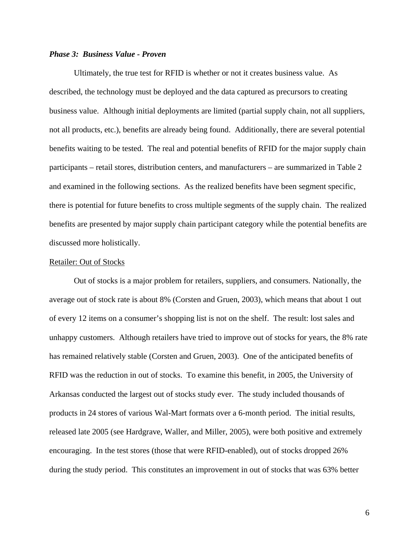## *Phase 3: Business Value - Proven*

Ultimately, the true test for RFID is whether or not it creates business value. As described, the technology must be deployed and the data captured as precursors to creating business value. Although initial deployments are limited (partial supply chain, not all suppliers, not all products, etc.), benefits are already being found. Additionally, there are several potential benefits waiting to be tested. The real and potential benefits of RFID for the major supply chain participants – retail stores, distribution centers, and manufacturers – are summarized in Table 2 and examined in the following sections. As the realized benefits have been segment specific, there is potential for future benefits to cross multiple segments of the supply chain. The realized benefits are presented by major supply chain participant category while the potential benefits are discussed more holistically.

#### Retailer: Out of Stocks

Out of stocks is a major problem for retailers, suppliers, and consumers. Nationally, the average out of stock rate is about 8% (Corsten and Gruen, 2003), which means that about 1 out of every 12 items on a consumer's shopping list is not on the shelf. The result: lost sales and unhappy customers. Although retailers have tried to improve out of stocks for years, the 8% rate has remained relatively stable (Corsten and Gruen, 2003). One of the anticipated benefits of RFID was the reduction in out of stocks. To examine this benefit, in 2005, the University of Arkansas conducted the largest out of stocks study ever. The study included thousands of products in 24 stores of various Wal-Mart formats over a 6-month period. The initial results, released late 2005 (see Hardgrave, Waller, and Miller, 2005), were both positive and extremely encouraging. In the test stores (those that were RFID-enabled), out of stocks dropped 26% during the study period. This constitutes an improvement in out of stocks that was 63% better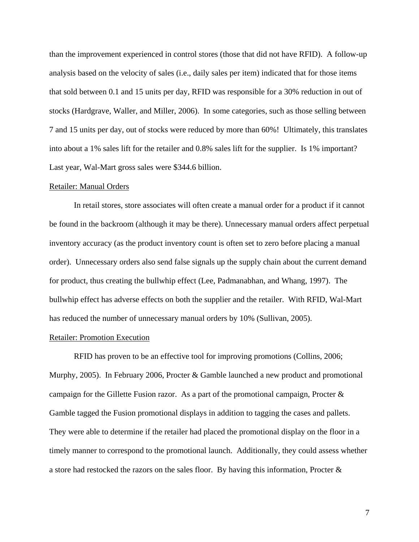than the improvement experienced in control stores (those that did not have RFID). A follow-up analysis based on the velocity of sales (i.e., daily sales per item) indicated that for those items that sold between 0.1 and 15 units per day, RFID was responsible for a 30% reduction in out of stocks (Hardgrave, Waller, and Miller, 2006). In some categories, such as those selling between 7 and 15 units per day, out of stocks were reduced by more than 60%! Ultimately, this translates into about a 1% sales lift for the retailer and 0.8% sales lift for the supplier. Is 1% important? Last year, Wal-Mart gross sales were \$344.6 billion.

#### Retailer: Manual Orders

 In retail stores, store associates will often create a manual order for a product if it cannot be found in the backroom (although it may be there). Unnecessary manual orders affect perpetual inventory accuracy (as the product inventory count is often set to zero before placing a manual order). Unnecessary orders also send false signals up the supply chain about the current demand for product, thus creating the bullwhip effect (Lee, Padmanabhan, and Whang, 1997). The bullwhip effect has adverse effects on both the supplier and the retailer. With RFID, Wal-Mart has reduced the number of unnecessary manual orders by 10% (Sullivan, 2005).

## Retailer: Promotion Execution

 RFID has proven to be an effective tool for improving promotions (Collins, 2006; Murphy, 2005). In February 2006, Procter & Gamble launched a new product and promotional campaign for the Gillette Fusion razor. As a part of the promotional campaign, Procter & Gamble tagged the Fusion promotional displays in addition to tagging the cases and pallets. They were able to determine if the retailer had placed the promotional display on the floor in a timely manner to correspond to the promotional launch. Additionally, they could assess whether a store had restocked the razors on the sales floor. By having this information, Procter &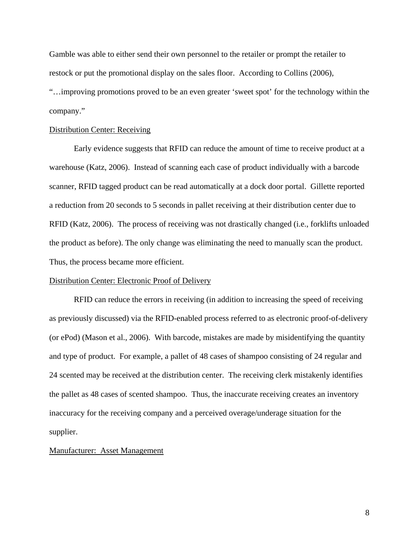Gamble was able to either send their own personnel to the retailer or prompt the retailer to restock or put the promotional display on the sales floor. According to Collins (2006), "…improving promotions proved to be an even greater 'sweet spot' for the technology within the company."

### Distribution Center: Receiving

Early evidence suggests that RFID can reduce the amount of time to receive product at a warehouse (Katz, 2006). Instead of scanning each case of product individually with a barcode scanner, RFID tagged product can be read automatically at a dock door portal. Gillette reported a reduction from 20 seconds to 5 seconds in pallet receiving at their distribution center due to RFID (Katz, 2006). The process of receiving was not drastically changed (i.e., forklifts unloaded the product as before). The only change was eliminating the need to manually scan the product. Thus, the process became more efficient.

# Distribution Center: Electronic Proof of Delivery

RFID can reduce the errors in receiving (in addition to increasing the speed of receiving as previously discussed) via the RFID-enabled process referred to as electronic proof-of-delivery (or ePod) (Mason et al., 2006). With barcode, mistakes are made by misidentifying the quantity and type of product. For example, a pallet of 48 cases of shampoo consisting of 24 regular and 24 scented may be received at the distribution center. The receiving clerk mistakenly identifies the pallet as 48 cases of scented shampoo. Thus, the inaccurate receiving creates an inventory inaccuracy for the receiving company and a perceived overage/underage situation for the supplier.

# Manufacturer: Asset Management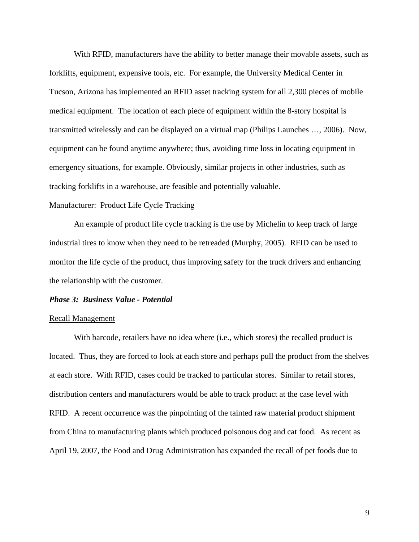With RFID, manufacturers have the ability to better manage their movable assets, such as forklifts, equipment, expensive tools, etc. For example, the University Medical Center in Tucson, Arizona has implemented an RFID asset tracking system for all 2,300 pieces of mobile medical equipment. The location of each piece of equipment within the 8-story hospital is transmitted wirelessly and can be displayed on a virtual map (Philips Launches …, 2006). Now, equipment can be found anytime anywhere; thus, avoiding time loss in locating equipment in emergency situations, for example. Obviously, similar projects in other industries, such as tracking forklifts in a warehouse, are feasible and potentially valuable.

#### Manufacturer: Product Life Cycle Tracking

 An example of product life cycle tracking is the use by Michelin to keep track of large industrial tires to know when they need to be retreaded (Murphy, 2005). RFID can be used to monitor the life cycle of the product, thus improving safety for the truck drivers and enhancing the relationship with the customer.

#### *Phase 3: Business Value - Potential*

#### Recall Management

 With barcode, retailers have no idea where (i.e., which stores) the recalled product is located. Thus, they are forced to look at each store and perhaps pull the product from the shelves at each store. With RFID, cases could be tracked to particular stores. Similar to retail stores, distribution centers and manufacturers would be able to track product at the case level with RFID. A recent occurrence was the pinpointing of the tainted raw material product shipment from China to manufacturing plants which produced poisonous dog and cat food. As recent as April 19, 2007, the Food and Drug Administration has expanded the recall of pet foods due to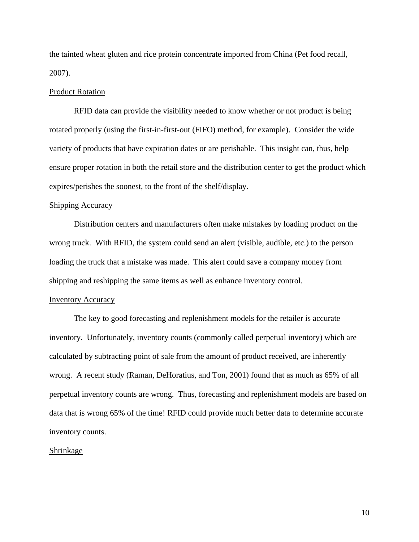the tainted wheat gluten and rice protein concentrate imported from China (Pet food recall, 2007).

## Product Rotation

RFID data can provide the visibility needed to know whether or not product is being rotated properly (using the first-in-first-out (FIFO) method, for example). Consider the wide variety of products that have expiration dates or are perishable. This insight can, thus, help ensure proper rotation in both the retail store and the distribution center to get the product which expires/perishes the soonest, to the front of the shelf/display.

# Shipping Accuracy

 Distribution centers and manufacturers often make mistakes by loading product on the wrong truck. With RFID, the system could send an alert (visible, audible, etc.) to the person loading the truck that a mistake was made. This alert could save a company money from shipping and reshipping the same items as well as enhance inventory control.

#### Inventory Accuracy

 The key to good forecasting and replenishment models for the retailer is accurate inventory. Unfortunately, inventory counts (commonly called perpetual inventory) which are calculated by subtracting point of sale from the amount of product received, are inherently wrong. A recent study (Raman, DeHoratius, and Ton, 2001) found that as much as 65% of all perpetual inventory counts are wrong. Thus, forecasting and replenishment models are based on data that is wrong 65% of the time! RFID could provide much better data to determine accurate inventory counts.

#### Shrinkage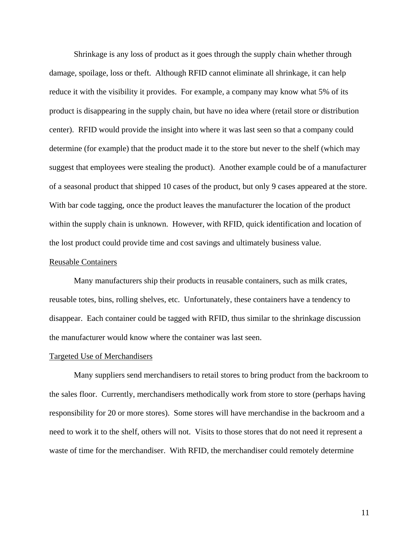Shrinkage is any loss of product as it goes through the supply chain whether through damage, spoilage, loss or theft. Although RFID cannot eliminate all shrinkage, it can help reduce it with the visibility it provides. For example, a company may know what 5% of its product is disappearing in the supply chain, but have no idea where (retail store or distribution center). RFID would provide the insight into where it was last seen so that a company could determine (for example) that the product made it to the store but never to the shelf (which may suggest that employees were stealing the product). Another example could be of a manufacturer of a seasonal product that shipped 10 cases of the product, but only 9 cases appeared at the store. With bar code tagging, once the product leaves the manufacturer the location of the product within the supply chain is unknown. However, with RFID, quick identification and location of the lost product could provide time and cost savings and ultimately business value.

#### Reusable Containers

 Many manufacturers ship their products in reusable containers, such as milk crates, reusable totes, bins, rolling shelves, etc. Unfortunately, these containers have a tendency to disappear. Each container could be tagged with RFID, thus similar to the shrinkage discussion the manufacturer would know where the container was last seen.

#### Targeted Use of Merchandisers

 Many suppliers send merchandisers to retail stores to bring product from the backroom to the sales floor. Currently, merchandisers methodically work from store to store (perhaps having responsibility for 20 or more stores). Some stores will have merchandise in the backroom and a need to work it to the shelf, others will not. Visits to those stores that do not need it represent a waste of time for the merchandiser. With RFID, the merchandiser could remotely determine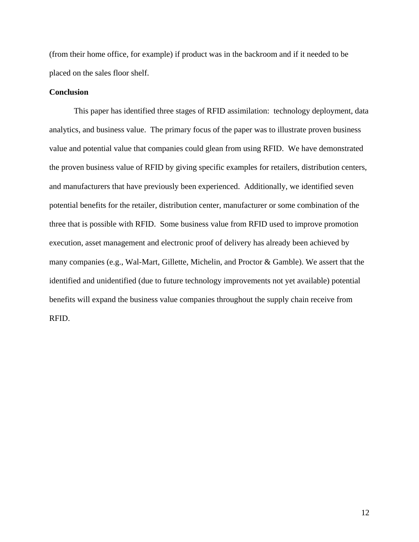(from their home office, for example) if product was in the backroom and if it needed to be placed on the sales floor shelf.

# **Conclusion**

This paper has identified three stages of RFID assimilation: technology deployment, data analytics, and business value. The primary focus of the paper was to illustrate proven business value and potential value that companies could glean from using RFID. We have demonstrated the proven business value of RFID by giving specific examples for retailers, distribution centers, and manufacturers that have previously been experienced. Additionally, we identified seven potential benefits for the retailer, distribution center, manufacturer or some combination of the three that is possible with RFID. Some business value from RFID used to improve promotion execution, asset management and electronic proof of delivery has already been achieved by many companies (e.g., Wal-Mart, Gillette, Michelin, and Proctor & Gamble). We assert that the identified and unidentified (due to future technology improvements not yet available) potential benefits will expand the business value companies throughout the supply chain receive from RFID.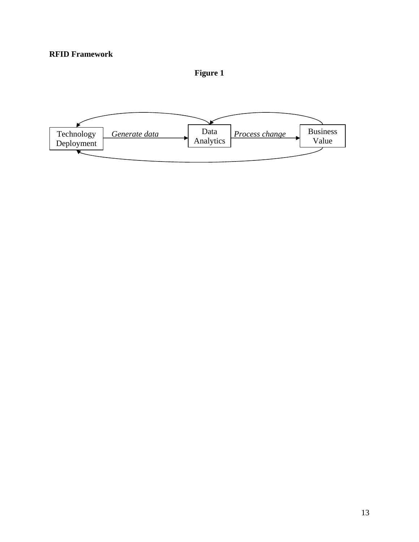**Figure 1** 

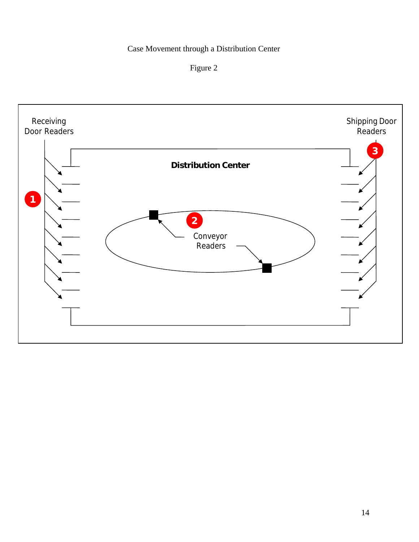# Case Movement through a Distribution Center



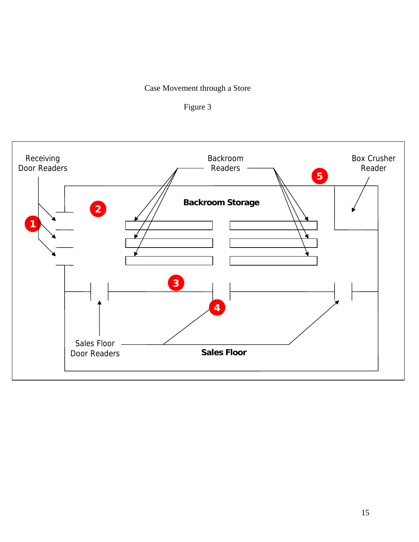# Case Movement through a Store



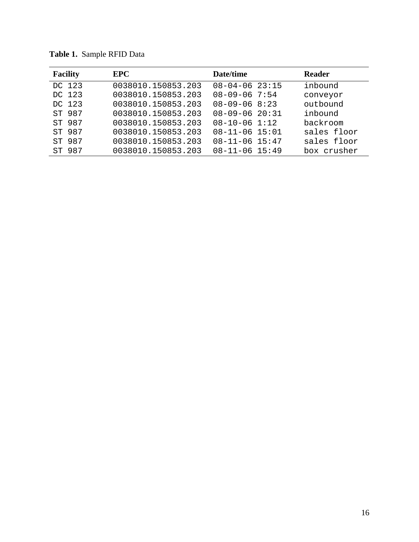| <b>Facility</b> | <b>EPC</b>         | Date/time            | <b>Reader</b> |
|-----------------|--------------------|----------------------|---------------|
| DC 123          | 0038010.150853.203 | $08 - 04 - 06$ 23:15 | inbound       |
| DC 123          | 0038010.150853.203 | $08 - 09 - 06$ 7:54  | conveyor      |
| DC 123          | 0038010.150853.203 | $08 - 09 - 06$ 8:23  | outbound      |
| ST 987          | 0038010.150853.203 | $08 - 09 - 06$ 20:31 | inbound       |
| ST 987          | 0038010.150853.203 | $08 - 10 - 06$ 1:12  | backroom      |
| ST 987          | 0038010.150853.203 | $08 - 11 - 06$ 15:01 | sales floor   |
| ST 987          | 0038010.150853.203 | $08 - 11 - 06$ 15:47 | sales floor   |
| ST 987          | 0038010.150853.203 | $08 - 11 - 06$ 15:49 | box crusher   |

**Table 1.** Sample RFID Data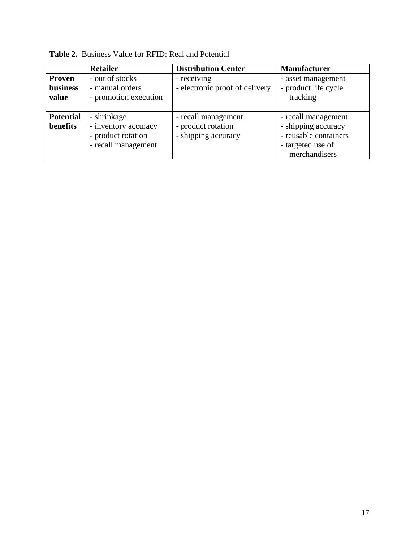|                                    | <b>Retailer</b>                                                                  | <b>Distribution Center</b>                                       | <b>Manufacturer</b>                                                                                       |
|------------------------------------|----------------------------------------------------------------------------------|------------------------------------------------------------------|-----------------------------------------------------------------------------------------------------------|
| <b>Proven</b><br>business<br>value | - out of stocks<br>- manual orders<br>- promotion execution                      | - receiving<br>- electronic proof of delivery                    | - asset management<br>- product life cycle<br>tracking                                                    |
| <b>Potential</b><br>benefits       | - shrinkage<br>- inventory accuracy<br>- product rotation<br>- recall management | - recall management<br>- product rotation<br>- shipping accuracy | - recall management<br>- shipping accuracy<br>- reusable containers<br>- targeted use of<br>merchandisers |

**Table 2.** Business Value for RFID: Real and Potential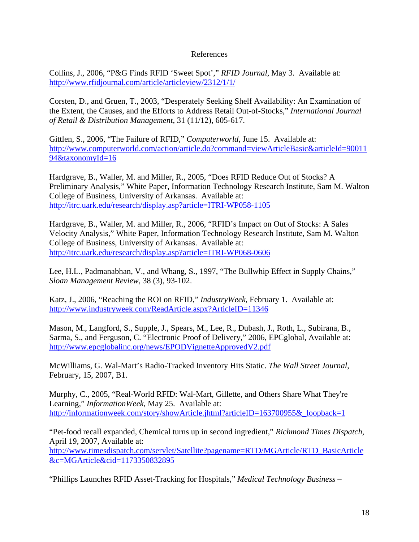# References

Collins, J., 2006, "P&G Finds RFID 'Sweet Spot'," *RFID Journal*, May 3. Available at: http://www.rfidjournal.com/article/articleview/2312/1/1/

Corsten, D., and Gruen, T., 2003, "Desperately Seeking Shelf Availability: An Examination of the Extent, the Causes, and the Efforts to Address Retail Out-of-Stocks," *International Journal of Retail & Distribution Management*, 31 (11/12), 605-617.

Gittlen, S., 2006, "The Failure of RFID," *Computerworld*, June 15. Available at: http://www.computerworld.com/action/article.do?command=viewArticleBasic&articleId=90011 94&taxonomyId=16

Hardgrave, B., Waller, M. and Miller, R., 2005, "Does RFID Reduce Out of Stocks? A Preliminary Analysis," White Paper, Information Technology Research Institute, Sam M. Walton College of Business, University of Arkansas. Available at: http://itrc.uark.edu/research/display.asp?article=ITRI-WP058-1105

Hardgrave, B., Waller, M. and Miller, R., 2006, "RFID's Impact on Out of Stocks: A Sales Velocity Analysis," White Paper, Information Technology Research Institute, Sam M. Walton College of Business, University of Arkansas. Available at: http://itrc.uark.edu/research/display.asp?article=ITRI-WP068-0606

Lee, H.L., Padmanabhan, V., and Whang, S., 1997, "The Bullwhip Effect in Supply Chains," *Sloan Management Review*, 38 (3), 93-102.

Katz, J., 2006, "Reaching the ROI on RFID," *IndustryWeek*, February 1. Available at: http://www.industryweek.com/ReadArticle.aspx?ArticleID=11346

Mason, M., Langford, S., Supple, J., Spears, M., Lee, R., Dubash, J., Roth, L., Subirana, B., Sarma, S., and Ferguson, C. "Electronic Proof of Delivery," 2006, EPCglobal, Available at: http://www.epcglobalinc.org/news/EPODVignetteApprovedV2.pdf

McWilliams, G. Wal-Mart's Radio-Tracked Inventory Hits Static. *The Wall Street Journal*, February, 15, 2007, B1.

Murphy, C., 2005, "Real-World RFID: Wal-Mart, Gillette, and Others Share What They're Learning," *InformationWeek*, May 25. Available at: http://informationweek.com/story/showArticle.jhtml?articleID=163700955&\_loopback=1

"Pet-food recall expanded, Chemical turns up in second ingredient," *Richmond Times Dispatch*, April 19, 2007, Available at: http://www.timesdispatch.com/servlet/Satellite?pagename=RTD/MGArticle/RTD\_BasicArticle &c=MGArticle&cid=1173350832895

"Phillips Launches RFID Asset-Tracking for Hospitals," *Medical Technology Business –*